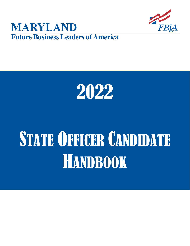





# STATE OFFICER CANDIDATE HANDBOOK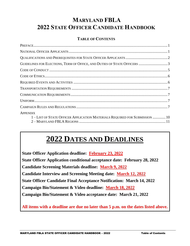## **MARYLAND FBLA 2022 STATE OFFICER CANDIDATE HANDBOOK**

#### **TABLE OF CONTENTS**

| GUIDELINES FOR ELECTIONS, TERM OF OFFICE, AND DUTIES OF STATE OFFICERS 3                       |  |
|------------------------------------------------------------------------------------------------|--|
|                                                                                                |  |
|                                                                                                |  |
|                                                                                                |  |
|                                                                                                |  |
|                                                                                                |  |
|                                                                                                |  |
|                                                                                                |  |
| <b>APPENDIX</b><br>1 – LIST OF STATE OFFICER APPLICATION MATERIALS REQUIRED FOR SUBMISSION  10 |  |

# **2022 DATES AND DEADLINES**

**State Officer Application deadline: February 23, 2022 State Officer Application conditional acceptance date: February 28, 2022 Candidate Screening Materials deadline: March 9, 2022 Candidate Interview and Screening Meeting date: March 12, 2022 State Officer Candidate Final Acceptance Notification: March 14, 2022 Campaign Bio/Statement & Video deadline: March 18, 2022 Campaign Bio/Statement & Video acceptance date: March 21, 2022**

**All items with a deadline are due no later than 5 p.m. on the dates listed above.**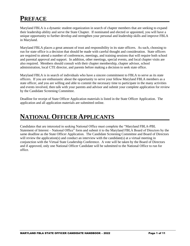## **PREFACE**

Maryland FBLA is a dynamic student organization in search of chapter members that are seeking to expand their leadership ability and serve the State Chapter. If nominated and elected or appointed, you will have a unique opportunity to further develop and strengthen your personal and leadership skills and improve FBLA in Maryland.

Maryland FBLA places a great amount of trust and responsibility in its state officers. As such, choosing to run for state office is a decision that should be made with careful thought and consideration. State officers are required to attend a number of conferences, meetings, and training sessions that will require both school and parental approval and support. In addition, other meetings, special events, and local chapter visits are also required. Members should consult with their chapter membership, chapter advisor, school administration, local CTE director, and parents before making a decision to seek state office.

Maryland FBLA is in search of individuals who have a sincere commitment to FBLA to serve as its state officers. If you are enthusiastic about the opportunity to serve your fellow Maryland FBLA members as a state officer, and you are willing and able to commit the necessary time to participate in the many activities and events involved, then talk with your parents and advisor and submit your complete application for review by the Candidate Screening Committee.

Deadline for receipt of State Officer Application materials is listed in the State Officer Application. The application and all application materials are submitted online.

## **NATIONAL OFFICER APPLICANTS**

Candidates that are interested in seeking National Office must complete the "Maryland FBLA-PBL Statement of Interest – National Office" form and submit it to the Maryland FBLA Board of Directors by the same deadline as the State Officer Application. The Candidate Screening Committee and Board of Directors will review the application(s) and conduct an interview with the candidate(s) at a virtual meeting in conjunction with the Virtual State Leadership Conference. A vote will be taken by the Board of Directors and if approved, only one National Officer Candidate will be submitted to the National Office to run for office.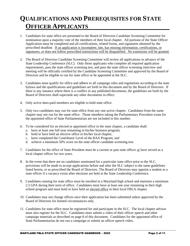## **QUALIFICATIONS AND PREREQUISITES FOR STATE OFFICER APPLICANTS**

- 1. Candidates for state office are presented to the Board of Directors Candidate Screening Committee for nomination upon a majority vote of the members of their local chapter. All portions of the State Officer Application must be completed and all certifications, related forms, and signatures obtained by the prescribed deadline. If an application is incomplete, late, has missing information, certifications, or signatures, or does not follow prescribed instructions will be disqualified. No extensions will be granted.
- 2. The Board of Directors Candidate Screening Committee will review all applications in advance of the State Leadership Conference (SLC). Only those applicants who complete all required application requirements, pass the state officer screening test, and pass the state officer screening interview and meeting will be officially certified by the Candidate Screening Committee and approved by the Board of Directors and be eligible to run for state office or be appointed at the SLC.
- 3. Candidates must qualify for office and adhere to all campaign rules and regulations according to the state bylaws and the qualifications and guidelines set forth in this document and by the Board of Directors. If there is any instance where there is a conflict in any published documents, the guidelines set forth by the Board of Directors shall supersede any other documents in effect.
- 4. Only active dues-paid members are eligible to hold state office.
- 5. Only two candidates may run for state office from any one active chapter. Candidates from the same chapter may not run for the same office. Those members taking the Parliamentary Procedure exam for the appointed office of State Parliamentarian are not included in this number.
- 6. To be considered for an elected or appointed office in the state chapter, a candidate shall:
	- a. have at least one full year remaining in his/her business program;
	- b. hold or have held an elective office in his/her local chapter;
	- c. have completed the Contributor Level of the BAA Program; and
	- d. achieve a minimum 50% score on the state officer candidate screening test.
- 7. Candidates for the office of State President must be a current or past state officer or have served as a local chapter officer for two years.
- 8. In the event that there are no candidates nominated for a particular state office prior to the SLC, provisions will be made to accept applications before and after the SLC subject to the same guidelines listed herein, or as prescribed the Board of Directors. The Board of Directors may appoint a student as a state officer if a vacancy exists after elections are held at the State Leadership Conference.
- 9. Candidates running for state office must be enrolled in a Maryland high school and maintain a minimum 2.5 GPA during their term of office. Candidates must have at least one year remaining in their high school program and must hold or have held an elected office in their local FBLA chapter.
- 10. Candidates may not change offices once their application has been submitted unless approved by the Board of Directors for limited circumstances only.
- 11. Candidates for state office must be registered for and participate in the SLC. The local chapter advisor must also register for the SLC. Candidates must submit a video of their officer speech and other campaign materials as described on page 8 of this document. Candidates for the appointed office of State Parliamentarian do not run a campaign or submit an officer speech video.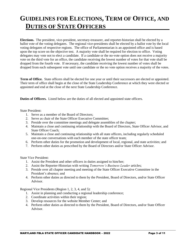## **GUIDELINES FOR ELECTIONS, TERM OF OFFICE, AND DUTIES OF STATE OFFICERS**

**Elections.** The president, vice-president, secretary-treasurer, and reporter-historian shall be elected by a ballot vote of the voting delegates. The regional vice-presidents shall be elected by a ballot vote by the local voting delegates of respective regions. The office of Parliamentarian is an appointed office and is based upon the top score on the objective test. A majority vote shall be required for election to office. Voting delegates may vote not to elect a candidate. If a candidate or the no-vote option does not receive a majority vote on the third vote for an office, the candidate receiving the lowest number of votes for that vote shall be dropped from the fourth vote. If necessary, the candidate receiving the lowest number of votes shall be dropped from each subsequent vote until one candidate or the no vote option receives a majority of the votes.

**Term of Office.** State officers shall be elected for one year or until their successors are elected or appointed. Their term of office shall begin at the close of the State Leadership Conference at which they were elected or appointed and end at the close of the next State Leadership Conference.

**Duties of Officers.** Listed below are the duties of all elected and appointed state officers.

State President:

- 1. Serve as a member of the Board of Directors;
- 2. Serve as chair of the State Officer Executive Committee;
- 3. Preside over the committee meetings and delegate assemblies of the chapter;
- 4. Maintain a close and continuing relationship with the Board of Directors, State Officer Advisor, and State Officer Coach;
- 5. Maintain a close and continuing relationship with all state officers, including regularly scheduled one-on-one conversations with each member of the state officer team;
- 6. Perform other duties for the promotion and development of local, regional, and state activities; and
- 7. Perform other duties as prescribed by the Board of Directors and/or State Officer Advisor.

State Vice President:

- 1. Assist the President and other officers in duties assigned to him/her;
- 2. Assist the Reporter-Historian with writing *Tomorrow's Business Leader* articles;
- 3. Preside over all chapter meeting and meeting of the State Officer Executive Committee in the President's absence; and
- 4. Perform other duties as directed to them by the President, Board of Directors, and/or State Officer Advisor.

Regional Vice Presidents (Region 1, 2, 3, 4, and 5):

- 1. Assist in planning and conducting a regional leadership conference;
- 2. Coordinate activities within their region;
- 3. Develop resources for the website Member Center; and
- 4. Perform other duties as directed to them by the President, Board of Directors, and/or State Officer Advisor.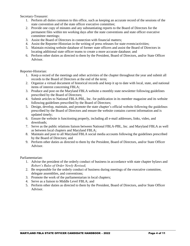Secretary-Treasurer:

- 1. Perform all duties common to this office, such as keeping an accurate record of the sessions of the state convention and of the state officer executive committee;
- 2. Provide one copy of minutes and any substantiating reports to the Board of Directors for the permanent files within ten working days after the state conventions and state officer executive committee meetings;
- 3. Assist the Board of Directors in connection with financial matters;
- 4. Assist the Reporter-Historian in the writing of press releases for state events/activities;
- 5. Maintain existing website database of former state officers and assist the Board of Directors in locating additional state officer teams to create a more accurate database; and
- 6. Perform other duties as directed to them by the President, Board of Directors, and/or State Officer Advisor.

#### Reporter-Historian:

- 1. Keep a record of the meetings and other activities of the chapter throughout the year and submit all records to the Board of Directors at the end of the term;
- 2. Organize a virtual document of historical records and keep it up to date with local, state, and national items of interest concerning FBLA;
- 3. Produce and post on the Maryland FBLA website a monthly state newsletter following guidelines prescribed by the Board of Directors;
- 4. Submit articles to National FBLA-PBL, Inc. for publication in its member magazine and its website following guidelines prescribed by the Board of Directors;
- 5. Design, develop, maintain, and promote the state chapter's official website following the guidelines prescribed by the Board of Directors and ensure the website contains current information and is updated timely;
- 6. Ensure the website is functioning properly, including all e-mail addresses, links, video, and downloads;
- 7. Serve as the public relations liaison between National FBLA-PBL, Inc. and Maryland FBLA as well as between local chapters and Maryland FBLA;
- 8. Maintain and post to all Maryland FBLA social media accounts following the guidelines prescribed by the Board of Directors; and
- 9. Perform other duties as directed to them by the President, Board of Directors, and/or State Officer Advisor.

#### Parliamentarian:

- 1. Advise the president of the orderly conduct of business in accordance with state chapter bylaws and *Robert's Rules of Order Newly Revised*;
- 2. Be responsible for the orderly conduct of business during meetings of the executive committee, delegate assemblies, and conventions;
- 3. Promote the work of the parliamentarian in local chapters;
- 4. Serve as a liaison to Middle Level FBLA; and
- 5. Perform other duties as directed to them by the President, Board of Directors, and/or State Officer Advisor.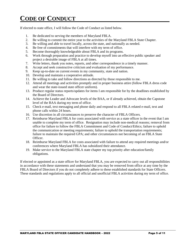## **CODE OF CONDUCT**

If elected to state office, I will follow the Code of Conduct as listed below.

- 1. Be dedicated to serving the members of Maryland FBLA.
- 2. Be willing to commit the entire year to the activities of the Maryland FBLA State Chapter.
- 3. Be willing and able to travel locally, across the state, and nationally as needed.
- 4. Be free of commitments that will interfere with my term of office.
- 5. Become thoroughly knowledgeable about FBLA and its programs.
- 6. Work through preparation and practice to develop myself into an effective public speaker and project a desirable image of FBLA at all times.
- 7. Write letters, thank you notes, reports, and other correspondence in a timely manner.
- 8. Accept and seek constructive criticism and evaluation of my performance.
- 9. Keep up-to-date on current events in my community, state and nation.
- 10. Develop and maintain a cooperative attitude.
- 11. Be willing to take and follow directions as directed by those responsible to me.
- 12. Attend all meetings and activities promptly and in proper business attire (follow FBLA dress code and wear the state-issued state officer uniform).
- 13. Produce regular status reports/updates for items I am responsible for by the deadlines established by the Board of Directors.
- 14. Achieve the Leader and Advocate levels of the BAA, or if already achieved, obtain the Capstone level of the BAA during my term of office.
- 15. Check e-mail, text messaging and phone daily and respond to all FBLA related e-mail, text and phone calls within 24 hours.
- 16. Use discretion in all circumstances to preserve the character of FBLA Officers.
- 17. Reimburse Maryland FBLA for costs associated with service as a state officer in the event that I am unable to complete my term of office. Resignation may include non-medical reasons; removal from office for failure to follow the FBLA Commitment and Code of Conduct/Ethics; failure to uphold the communication or meeting requirements; failure to uphold the transportation requirements; failure to maintain the required GPA; and other circumstances not becoming of an FBLA State Officer.
- 18. Reimburse Maryland FBLA for costs associated with failure to attend any required meetings and/or conferences where Maryland FBLA has subsidized their attendance.
- 19. Make service to the Maryland FBLA state chapter my top priority after education/family obligations.

If elected or appointed as a state officer for Maryland FBLA, you are expected to carry out all responsibilities in accordance with these statements and understand that you may be removed from office at any time by the FBLA Board of Directors if you do not completely adhere to these established standards for State Officers. These standards and regulations apply to all official and unofficial FBLA activities during my term of office.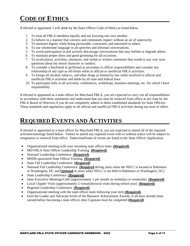## **CODE OF ETHICS**

If elected or appointed, I will abide by the State Officer Code of Ethics as listed below.

- 1. To treat all FBLA members equally and not favoring one over another.
- 2. To behave in a manner that conveys and commands respect without an air of superiority.
- 3. To maintain dignity while being personable, concerned, and interested in others.
- 4. To use wholesome language in all speeches and informal conversations.
- 5. To avoid participation in and actively discourage conversations that may belittle or degrade others.
- 6. To maintain proper dress and good grooming for all occasions.
- 7. To avoid places, activities, situations, and verbal or written comments that would in any way raise questions about my moral character or conduct.
- 8. To consider a boyfriend or girlfriend as secondary to officer responsibilities and consider any relationship of any type as off-limits while at official or unofficial FBLA activities.
- 9. To forego all alcohol, tobacco, and other drugs as limited by law while involved in official and unofficial FBLA activities and abide by all state and federal laws.
- 10. To participate fully in all activities, conferences, workshops, business meetings, etc. for which I have responsibility.

If elected or appointed as a state officer for Maryland FBLA, you are expected to carry out all responsibilities in accordance with these statements and understand that you may be removed from office at any time by the FBLA Board of Directors if you do not completely adhere to these established standards for State Officers. These standards and regulations apply to all official and unofficial FBLA activities during my term of office.

### **REQUIRED EVENTS AND ACTIVITIES**

If elected or appointed as a state officer for Maryland FBLA, you are expected to attend all of the required activities/meetings listed below. Failure to attend any required event with or without notice will be subject to resignation or removal from office. Dates/timeframe of events are listed in the State Officer Application.

- Organizational meeting with your incoming state officer team **(Required)**
- MD FBLA State Officer Leadership Training **(Required)**
- National Leadership Conference **(Required)**
- MSDE-sponsored State Officer Training **(Required)**
- State Fall Leadership Conference **(Required)**
- National Fall Leadership Conference **(Required** during years when the NFLC is located in Baltimore or Washington, DC and **Optional** in years when NFLC is not held in Baltimore or Washington, DC)
- State Leadership Conference **(Required)**
- State Executive Meetings/Calls (approximately 1 per month on weekdays or weekends) **(Required)**
- Local Chapter Visits (approximately 5 virtual/physical visits during school year) **(Required)**
- Regional Leadership Conference **(Required)**
- Organizational meeting with the state officer team following your term **(Required)**
- Earn the Leader and Advocate levels of the Business Achievement Awards; if all have already been earned before becoming a state officer, then Capstone must be completed **(Required)**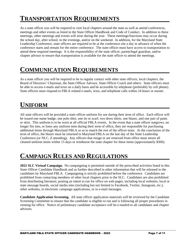## **TRANSPORTATION REQUIREMENTS**

As a state officer you will be required to visit local chapters around the state as well as attend conferences, meetings and other events as listed in the State Officer Handbook and Code of Conduct. In addition to these meetings, other meetings and events will arise during the year. These meetings/functions may occur during the school day, after school, in the evenings, and/or on the weekend. In addition, for the Maryland State Leadership Conference, state officers are required to be at the conference site a day in advance of when the conference starts and remain for the entire conference. The state officer must have access to transportation to attend these required meetings. It is the responsibility of the state officer, parent/legal guardian, and/or chapter advisor to ensure that transportation is available for the state officer to attend the meetings.

## **COMMUNICATION REQUIREMENTS**

As a state officer you will be required to be in regular contact with other state officers, local chapters, the Board of Directors' Chairman, the State Officer Advisor, State Officer Coach and others. State officers must be able to access e-mails and texts on a daily basis and be accessible by telephone (preferably by cell phone). State officers must respond to FBLA related e-mails, texts, and telephone calls within 24 hours or sooner.

## **UNIFORM**

All state officers will be provided a state officer uniform for use during their term of office. Each officer will be issued one name badge, one polo shirt, one tie or scarf, two dress shirts, one blazer, and one pair of pants or skirt. This uniform is to be worn at all official FBLA events. In the event that a state officer outgrows, no longer fits into, or loses any uniform item during their term of office, they are responsible for purchasing additional items through Maryland FBLA so as to match the rest of the officer team. At the conclusion of the term of office, the blazer must be returned to Maryland FBLA on the last day of the State Leadership Conference (or NLC, if attending). Any officers that resign or are removed from office must return all cleaned uniform items within 15 days or reimburse the state chapter for these items (approximately \$300).

## **CAMPAIGN RULES AND REGULATIONS**

**2022 SLC Virtual Campaign.** No campaigning is permitted outside of the prescribed activities listed in this State Officer Candidate Handbook and as further described in other information that will be released to the candidates by Maryland FBLA. Campaigning is strictly prohibited before the conference. Candidates are prohibited from contacting members of other local chapters prior to the SLC. Candidates are also prohibited from distributing literature, posting an intent to run for office on web pages, including local websites, local or state message boards, social media sites (including but not limited to Facebook, Twitter, Instagram, etc.), other websites, in electronic campaign applications, or in e-mail messages.

**Candidate Application Screening.** All state officer application materials will be reviewed by the Candidate Screening Committee to ensure that the candidate is eligible to run and is following all proper procedures in running for office. Notice of preliminary candidate acceptance will be e-mailed to all candidates and chapter advisors.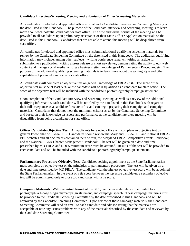#### **Candidate Interview/Screening Meeting and Submission of Other Screening Materials.**

All candidates for elected and appointed office must attend a Candidate Interview and Screening Meeting on the date listed in this Handbook. The purpose of the Candidate Interview and Screening Meeting is to learn more about each potential candidate for state office. The time and virtual format of the meeting will be provided to all candidates upon preliminary acceptance of their State Officer Application materials on the date listed in this Handbook. Candidates that are not able to attend this meeting will be disqualified from state office.

All candidates for elected and appointed office must submit additional qualifying screening materials for review by the Candidate Screening Committee by the date listed in this Handbook. The additional qualifying information may include, among other subjects: writing conference remarks; writing an article for submission to a publication; writing a press release or short newsletter; demonstrating the ability to edit web content and manage social media; writing a business letter; knowledge of Parliamentary Procedure; etc. The purpose of the additional qualifying screening materials is to learn more about the writing style and other capabilities of potential candidates for state office.

All candidates will complete an objective test on general knowledge of FBLA-PBL. The score of the objective test must be at least 50% or the candidate will be disqualified as a candidate for state office. The score of the objective test will be included with the candidate's photo/biography/campaign statement.

Upon completion of the Candidate Interview and Screening Meeting, as well as a review of the additional qualifying information, each candidate will be notified by the date listed in this Handbook with regard to their full acceptance as a candidate for state office and can begin preparing their campaign and campaign materials. Candidates that do not meet the minimum criteria as set by the Candidate Screening Committee and based on their knowledge test score and performance at the candidate interview meeting will be disqualified from being a candidate for state office.

**Officer Candidate Objective Test.** All applicants for elected office will complete an objective test on general knowledge of FBLA-PBL. Candidates should review the Maryland FBLA-PBL and National FBLA-PBL websites and all documents contained there within, the Maryland FBLA Competitive Events Handbook, and the National FBLA Chapter Management Handbook. The test will be given on a date and time prescribed by MD FBLA and a 50% minimum score must be attained. Results of the test will be provided to each candidate and will be included with the candidate's photo/biography/campaign statement.

**Parliamentary Procedure Objective Test.** Candidates seeking appointment as the State Parliamentarian must complete an objective test on the principles of parliamentary procedure. The test will be given on a date and time prescribed by MD FBLA. The candidate with the highest objective test score will be appointed the State Parliamentarian. In the event of a tie score between the top score candidates, a secondary objective test will be administered only to those top candidates with a tie score.

**Campaign Materials.** With the virtual format of the SLC, campaign materials will be limited to a photograph, a 1-page biography/campaign statement, and campaign speech. These campaign materials must be provided to the Candidate Screening Committee by the date prescribed in this Handbook and will be approved by the Candidate Screening Committee. Upon review of these campaign materials, the Candidate Screening Committee will send an email to each candidate and advisor stating that the materials are acceptable or note any issues/problems with any of the materials described by the candidate and reviewed by the Candidate Screening Committee.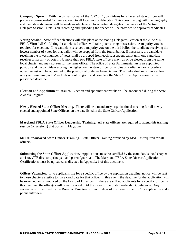**Campaign Speech.** With the virtual format of the 2022 SLC, candidates for all elected state offices will prepare a pre-recorded 1-minute speech to all local voting delegates. This speech, along with the biography and candidate statement will be made available to all local voting delegates in advance of the Voting Delegate Session. Details on recording and uploading the speech will be provided to approved candidates.

**Voting Session.** State officer elections will take place at the Voting Delegates Session at the 2022 MD FBLA Virtual SLC. Voting for all elected offices will take place during this session. A majority vote is required for election. If no candidate receives a majority vote on the third ballot, the candidate receiving the lowest number of votes for that ballot will be dropped from the fourth ballot. If necessary, the candidate receiving the lowest number of votes shall be dropped from each subsequent ballot until one candidate receives a majority of votes. No more than two FBLA state officers may run or be elected from the same local chapter and may not run for the same office. The office of State Parliamentarian is an appointed position and the candidate scoring the highest on the state officer principles of Parliamentary Procedure objective test will be appointed to the position of State Parliamentarian. This individual must have at least one year remaining in his/her high school program and complete the State Officer Application by the prescribed deadline.

**Election and Appointment Results.** Election and appointment results will be announced during the State Awards Program.

**Newly Elected State Officer Meeting.** There will be a mandatory organizational meeting for all newly elected and appointed State Officers on the date listed in the State Officer Application.

**Maryland FBLA State Officer Leadership Training.** All state officers are required to attend this training session (or sessions) that occurs in May/June.

**MSDE-sponsored State Officer Training.** State Officer Training provided by MSDE is required for all officers.

**Submitting the State Officer Application.** Applications must be certified by the candidate's local chapter advisor, CTE director, principal, and parent/guardian. The Maryland FBLA State Officer Application Certifications must be uploaded as directed in Appendix 1 of this document.

**Officer Vacancies.** If no applicants file for a specific office by the application deadline, notice will be sent to those chapters eligible to run a candidate for that office. In this event, the deadline for the application will be extended and announced by the Board of Directors. If there are still no applicants for a specific office by this deadline, the office(s) will remain vacant until the close of the State Leadership Conference. Any vacancies will be filled by the Board of Directors within 30 days of the close of the SLC by application and a phone interview.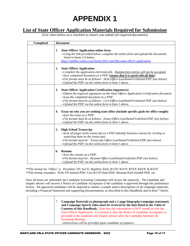# **APPENDIX 1**

#### **List of State Officer Application Materials Required for Submission**

*(Use chart below as a checklist to ensure you submit all required documents)*

| Completed | <b>Document</b>                                                                                                                                                                                                                                                                                                                                             |
|-----------|-------------------------------------------------------------------------------------------------------------------------------------------------------------------------------------------------------------------------------------------------------------------------------------------------------------------------------------------------------------|
|           | <b>State Officer Application online form</b><br>1.<br>--Using the link provided below, complete the online form and upload the documents<br>listed in Items 2-6 below.<br>https://mdfbla.wufoo.com/forms/2022-md-fbla-state-officer-application/                                                                                                            |
|           | <b>State Officer Application</b><br>2.<br>--Complete the application electronically. Handwritten entries will not be accepted.<br>--Save completed document as a PDF (ensure that it is saved with all data).<br>--File format must be as follows: SOA-Office-LastNameFirstInitial.PDF (see below)<br>--Upload the PDF via the online form in Item 1 above. |
|           | <b>State Officer Application Certification (signatures)</b><br>3.<br>--Obtain the required signatures on the State Officer Application Certification document.<br>--Scan the completed document as a PDF.<br>--File format must be as follows: Cert-Office-LastNameFirstInitial.PDF (see below)<br>--Upload the PDF via the online form in Item 1 above.    |
|           | Essay on why you are seeking state office (include specific goals for office sought)<br>4.<br>--Save the essay as a PDF.<br>--File format must be as follows: Essay-Office-LastNameFirstInitial.PDF (see below)<br>--Upload the PDF via the online form in Item 1 above.                                                                                    |
|           | 5. High School Transcript<br>--Scan all pages of the transcript as a PDF (identify business courses by circling or<br>underling them on the transcript).<br>--File format must be: Transcript-Office-LastNameFirstInitial.PDF (see below)<br>--Upload the PDF via the online form in Item 1 above.                                                          |
|           | <b>Resume</b><br>6.<br>--Save the resume as a PDF.<br>--File format must be: Resume-Office-LastNameFirstInitial.PDF (see below)<br>--Upload the PDF via the online form in Item 1 above.                                                                                                                                                                    |

\*\*File format for 'Office' is: President; VP; SecTr; RepHist; Parli; R1VP; R2VP; R3VP; R4VP; & R5VP. \*\*File format examples: SOA-VP-JonesD.PDF; Cert-R1VP-DoeJ.PDF, Resume-Parli-SmithP.PDF, etc.

Once all items are submitted, the Candidate Screening Committee will review the materials. The candidate and chapter adviser will receive a Notice of Candidate Acceptance if the candidate is approved through this preliminary review. All approved candidates will be required to submit a sample and/or descriptions of all campaign materials, including a Financial Statement and supporting documentation, as described in this Handbook and in Item 7 below.